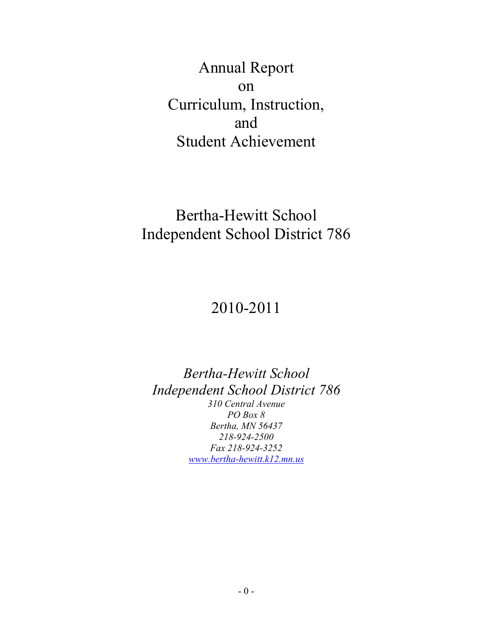Annual Report on Curriculum, Instruction, and Student Achievement

# Bertha-Hewitt School Independent School District 786

# 2010-2011

*Bertha-Hewitt School Independent School District 786 310 Central Avenue PO Box 8 Bertha, MN 56437 218-924-2500 Fax 218-924-3252 www.bertha-hewitt.k12.mn.us*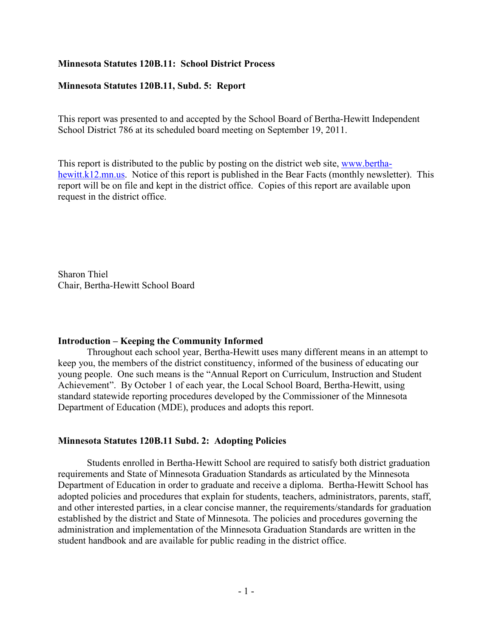### **Minnesota Statutes 120B.11: School District Process**

#### **Minnesota Statutes 120B.11, Subd. 5: Report**

This report was presented to and accepted by the School Board of Bertha-Hewitt Independent School District 786 at its scheduled board meeting on September 19, 2011.

This report is distributed to the public by posting on the district web site, www.berthahewitt.k12.mn.us. Notice of this report is published in the Bear Facts (monthly newsletter). This report will be on file and kept in the district office. Copies of this report are available upon request in the district office.

Sharon Thiel Chair, Bertha-Hewitt School Board

#### **Introduction – Keeping the Community Informed**

 Throughout each school year, Bertha-Hewitt uses many different means in an attempt to keep you, the members of the district constituency, informed of the business of educating our young people. One such means is the "Annual Report on Curriculum, Instruction and Student Achievement". By October 1 of each year, the Local School Board, Bertha-Hewitt, using standard statewide reporting procedures developed by the Commissioner of the Minnesota Department of Education (MDE), produces and adopts this report.

#### **Minnesota Statutes 120B.11 Subd. 2: Adopting Policies**

 Students enrolled in Bertha-Hewitt School are required to satisfy both district graduation requirements and State of Minnesota Graduation Standards as articulated by the Minnesota Department of Education in order to graduate and receive a diploma. Bertha-Hewitt School has adopted policies and procedures that explain for students, teachers, administrators, parents, staff, and other interested parties, in a clear concise manner, the requirements/standards for graduation established by the district and State of Minnesota. The policies and procedures governing the administration and implementation of the Minnesota Graduation Standards are written in the student handbook and are available for public reading in the district office.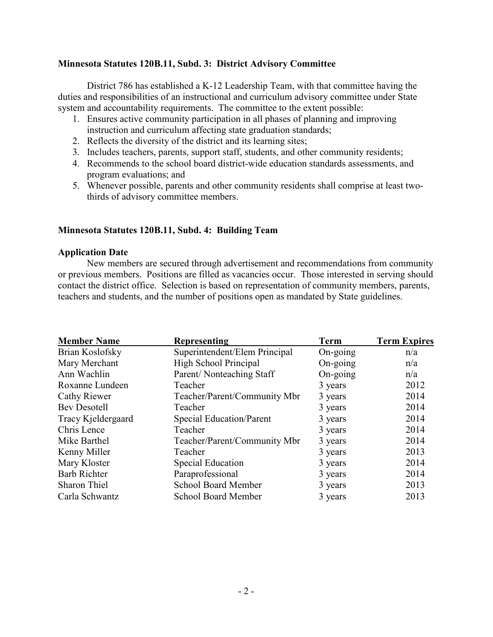## **Minnesota Statutes 120B.11, Subd. 3: District Advisory Committee**

 District 786 has established a K-12 Leadership Team, with that committee having the duties and responsibilities of an instructional and curriculum advisory committee under State system and accountability requirements. The committee to the extent possible:

- 1. Ensures active community participation in all phases of planning and improving instruction and curriculum affecting state graduation standards;
- 2. Reflects the diversity of the district and its learning sites;
- 3. Includes teachers, parents, support staff, students, and other community residents;
- 4. Recommends to the school board district-wide education standards assessments, and program evaluations; and
- 5. Whenever possible, parents and other community residents shall comprise at least twothirds of advisory committee members.

#### **Minnesota Statutes 120B.11, Subd. 4: Building Team**

#### **Application Date**

New members are secured through advertisement and recommendations from community or previous members. Positions are filled as vacancies occur. Those interested in serving should contact the district office. Selection is based on representation of community members, parents, teachers and students, and the number of positions open as mandated by State guidelines.

| <b>Member Name</b>  | Representing                    | <b>Term</b> | <b>Term Expires</b> |
|---------------------|---------------------------------|-------------|---------------------|
| Brian Koslofsky     | Superintendent/Elem Principal   | $On-going$  | n/a                 |
| Mary Merchant       | High School Principal           | On-going    | n/a                 |
| Ann Wachlin         | Parent/Nonteaching Staff        | On-going    | n/a                 |
| Roxanne Lundeen     | Teacher                         | 3 years     | 2012                |
| Cathy Riewer        | Teacher/Parent/Community Mbr    | 3 years     | 2014                |
| <b>Bev Desotell</b> | Teacher                         | 3 years     | 2014                |
| Tracy Kjeldergaard  | <b>Special Education/Parent</b> | 3 years     | 2014                |
| Chris Lence         | Teacher                         | 3 years     | 2014                |
| Mike Barthel        | Teacher/Parent/Community Mbr    | 3 years     | 2014                |
| Kenny Miller        | Teacher                         | 3 years     | 2013                |
| Mary Kloster        | <b>Special Education</b>        | 3 years     | 2014                |
| <b>Barb Richter</b> | Paraprofessional                | 3 years     | 2014                |
| Sharon Thiel        | <b>School Board Member</b>      | 3 years     | 2013                |
| Carla Schwantz      | <b>School Board Member</b>      | 3 years     | 2013                |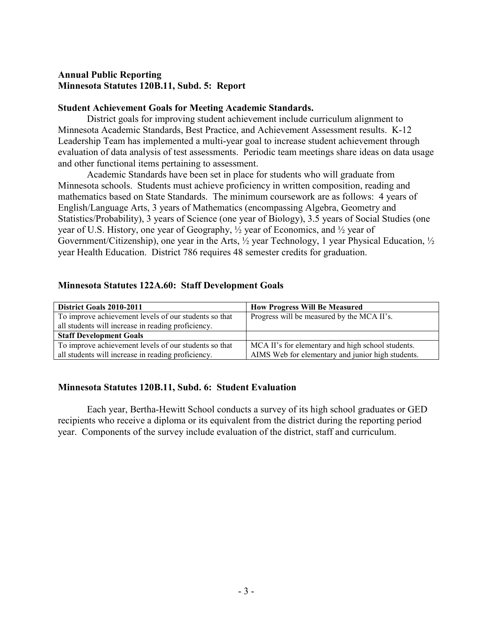## **Annual Public Reporting Minnesota Statutes 120B.11, Subd. 5: Report**

#### **Student Achievement Goals for Meeting Academic Standards.**

District goals for improving student achievement include curriculum alignment to Minnesota Academic Standards, Best Practice, and Achievement Assessment results. K-12 Leadership Team has implemented a multi-year goal to increase student achievement through evaluation of data analysis of test assessments. Periodic team meetings share ideas on data usage and other functional items pertaining to assessment.

 Academic Standards have been set in place for students who will graduate from Minnesota schools. Students must achieve proficiency in written composition, reading and mathematics based on State Standards. The minimum coursework are as follows: 4 years of English/Language Arts, 3 years of Mathematics (encompassing Algebra, Geometry and Statistics/Probability), 3 years of Science (one year of Biology), 3.5 years of Social Studies (one year of U.S. History, one year of Geography, ½ year of Economics, and ½ year of Government/Citizenship), one year in the Arts, ½ year Technology, 1 year Physical Education, ½ year Health Education. District 786 requires 48 semester credits for graduation.

#### **Minnesota Statutes 122A.60: Staff Development Goals**

| District Goals 2010-2011                              | <b>How Progress Will Be Measured</b>              |
|-------------------------------------------------------|---------------------------------------------------|
| To improve achievement levels of our students so that | Progress will be measured by the MCA II's.        |
| all students will increase in reading proficiency.    |                                                   |
| <b>Staff Development Goals</b>                        |                                                   |
| To improve achievement levels of our students so that | MCA II's for elementary and high school students. |
| all students will increase in reading proficiency.    | AIMS Web for elementary and junior high students. |

#### **Minnesota Statutes 120B.11, Subd. 6: Student Evaluation**

 Each year, Bertha-Hewitt School conducts a survey of its high school graduates or GED recipients who receive a diploma or its equivalent from the district during the reporting period year. Components of the survey include evaluation of the district, staff and curriculum.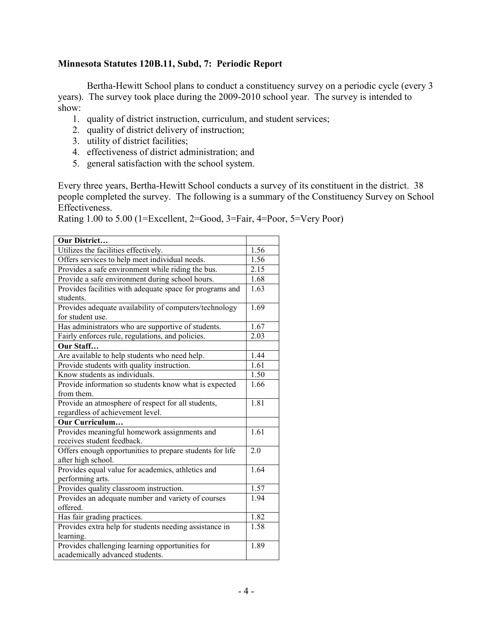## **Minnesota Statutes 120B.11, Subd, 7: Periodic Report**

 Bertha-Hewitt School plans to conduct a constituency survey on a periodic cycle (every 3 years). The survey took place during the 2009-2010 school year. The survey is intended to show:

- 1. quality of district instruction, curriculum, and student services;
- 2. quality of district delivery of instruction;
- 3. utility of district facilities;
- 4. effectiveness of district administration; and
- 5. general satisfaction with the school system.

Every three years, Bertha-Hewitt School conducts a survey of its constituent in the district. 38 people completed the survey. The following is a summary of the Constituency Survey on School Effectiveness.

Rating 1.00 to 5.00 (1=Excellent, 2=Good, 3=Fair, 4=Poor, 5=Very Poor)

| Our District                                             |                   |  |
|----------------------------------------------------------|-------------------|--|
| Utilizes the facilities effectively.                     |                   |  |
| Offers services to help meet individual needs.           |                   |  |
| Provides a safe environment while riding the bus.        |                   |  |
| Provide a safe environment during school hours.          |                   |  |
| Provides facilities with adequate space for programs and | 1.63              |  |
| students.                                                |                   |  |
| Provides adequate availability of computers/technology   | 1.69              |  |
| for student use.                                         |                   |  |
| Has administrators who are supportive of students.       | 1.67              |  |
| Fairly enforces rule, regulations, and policies.         | 2.03              |  |
| Our Staff                                                |                   |  |
| Are available to help students who need help.            | 1.44              |  |
| Provide students with quality instruction.               | 1.61              |  |
| Know students as individuals.                            | 1.50              |  |
| Provide information so students know what is expected    | 1.66              |  |
| from them.                                               |                   |  |
| Provide an atmosphere of respect for all students,       | 1.81              |  |
| regardless of achievement level.                         |                   |  |
| Our Curriculum                                           |                   |  |
| Provides meaningful homework assignments and             | $\overline{1.61}$ |  |
| receives student feedback.                               |                   |  |
| Offers enough opportunities to prepare students for life | $\overline{2.0}$  |  |
| after high school.                                       |                   |  |
| Provides equal value for academics, athletics and        | 1.64              |  |
| performing arts.                                         |                   |  |
| Provides quality classroom instruction.                  | 1.57              |  |
| Provides an adequate number and variety of courses       |                   |  |
| offered.                                                 |                   |  |
| Has fair grading practices.                              | 1.82              |  |
| Provides extra help for students needing assistance in   |                   |  |
| learning.                                                |                   |  |
| Provides challenging learning opportunities for          | 1.89              |  |
| academically advanced students.                          |                   |  |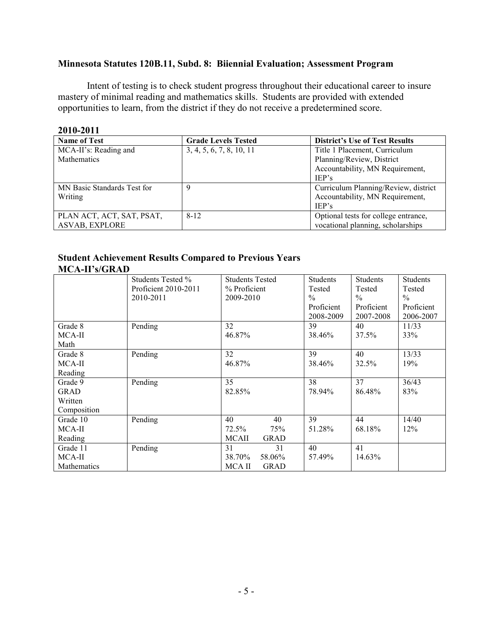## **Minnesota Statutes 120B.11, Subd. 8: Biiennial Evaluation; Assessment Program**

 Intent of testing is to check student progress throughout their educational career to insure mastery of minimal reading and mathematics skills. Students are provided with extended opportunities to learn, from the district if they do not receive a predetermined score.

## **2010-2011**

| <b>Name of Test</b>         | <b>Grade Levels Tested</b> | <b>District's Use of Test Results</b> |
|-----------------------------|----------------------------|---------------------------------------|
| MCA-II's: Reading and       | 3, 4, 5, 6, 7, 8, 10, 11   | Title 1 Placement, Curriculum         |
| Mathematics                 |                            | Planning/Review, District             |
|                             |                            | Accountability, MN Requirement,       |
|                             |                            | IEP's                                 |
| MN Basic Standards Test for | 9                          | Curriculum Planning/Review, district  |
| Writing                     |                            | Accountability, MN Requirement,       |
|                             |                            | IEP's                                 |
| PLAN ACT, ACT, SAT, PSAT,   | $8 - 12$                   | Optional tests for college entrance,  |
| <b>ASVAB, EXPLORE</b>       |                            | vocational planning, scholarships     |

#### **Student Achievement Results Compared to Previous Years MCA-II's/GRAD**

|                    | Students Tested %<br>Proficient 2010-2011<br>2010-2011 | <b>Students Tested</b><br>% Proficient<br>2009-2010 | <b>Students</b><br>Tested<br>$\%$<br>Proficient | <b>Students</b><br>Tested<br>$\%$<br>Proficient | <b>Students</b><br>Tested<br>$\frac{0}{0}$<br>Proficient |
|--------------------|--------------------------------------------------------|-----------------------------------------------------|-------------------------------------------------|-------------------------------------------------|----------------------------------------------------------|
|                    |                                                        |                                                     | 2008-2009                                       | 2007-2008                                       | 2006-2007                                                |
| Grade 8            | Pending                                                | 32                                                  | 39                                              | 40                                              | 11/33                                                    |
| MCA-II             |                                                        | 46.87%                                              | 38.46%                                          | 37.5%                                           | 33%                                                      |
| Math               |                                                        |                                                     |                                                 |                                                 |                                                          |
| Grade 8            | Pending                                                | 32                                                  | 39                                              | 40                                              | 13/33                                                    |
| MCA-II             |                                                        | 46.87%                                              | 38.46%                                          | 32.5%                                           | 19%                                                      |
| Reading            |                                                        |                                                     |                                                 |                                                 |                                                          |
| Grade 9            | Pending                                                | 35                                                  | 38                                              | 37                                              | 36/43                                                    |
| <b>GRAD</b>        |                                                        | 82.85%                                              | 78.94%                                          | 86.48%                                          | 83%                                                      |
| Written            |                                                        |                                                     |                                                 |                                                 |                                                          |
| Composition        |                                                        |                                                     |                                                 |                                                 |                                                          |
| Grade 10           | Pending                                                | 40<br>40                                            | 39                                              | 44                                              | 14/40                                                    |
| MCA-II             |                                                        | 72.5%<br>75%                                        | 51.28%                                          | 68.18%                                          | 12%                                                      |
| Reading            |                                                        | <b>MCAII</b><br><b>GRAD</b>                         |                                                 |                                                 |                                                          |
| Grade 11           | Pending                                                | 31<br>31                                            | 40                                              | 41                                              |                                                          |
| MCA-II             |                                                        | 38.70%<br>58.06%                                    | 57.49%                                          | 14.63%                                          |                                                          |
| <b>Mathematics</b> |                                                        | MCA II<br><b>GRAD</b>                               |                                                 |                                                 |                                                          |